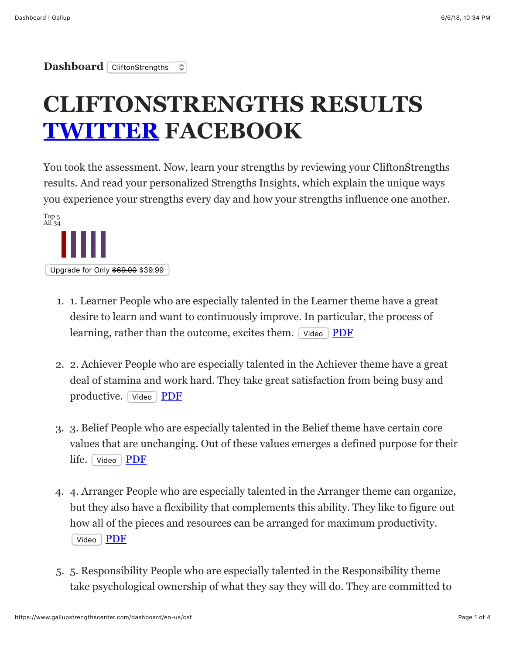**Dashboard** CliftonStrengths ≎

## **CLIFTONSTRENGTHS RESULTS [TWITTER](https://twitter.com/share?text=I%20lead%20with%20%40CliftonStrengths%20Top5%3A%20Learner%2C%20Achiever%2C%20Belief%2C%20Arranger%2C%20Responsibility.&url=http%3A%2F%2Fwww.gallupstrengthscenter.com%2FPurchase%2FIndex%3Futm_source%3Dtwitterbutton%26utm_medium%3Dtwitter%26utm_campaign%3Dgcssharing%26hashtags%3Dstrengths) FACEBOOK**

You took the assessment. Now, learn your strengths by reviewing your CliftonStrengths results. And read your personalized Strengths Insights, which explain the unique ways you experience your strengths every day and how your strengths influence one another.



- 1. 1. Learner People who are especially talented in the Learner theme have a great desire to learn and want to continuously improve. In particular, the process of learning, rather than the outcome, excites them. Video [PDF](https://dk9zyhfatdvcy.cloudfront.net/public/pdf/en-US/Learner.pdf)
- 2. 2. Achiever People who are especially talented in the Achiever theme have a great deal of stamina and work hard. They take great satisfaction from being busy and productive. Video **[PDF](https://dk9zyhfatdvcy.cloudfront.net/public/pdf/en-US/Achiever.pdf)**
- 3. 3. Belief People who are especially talented in the Belief theme have certain core values that are unchanging. Out of these values emerges a defined purpose for their life. Video [PDF](https://dk9zyhfatdvcy.cloudfront.net/public/pdf/en-US/Belief.pdf)
- 4. 4. Arranger People who are especially talented in the Arranger theme can organize, but they also have a flexibility that complements this ability. They like to figure out how all of the pieces and resources can be arranged for maximum productivity. Video | [PDF](https://dk9zyhfatdvcy.cloudfront.net/public/pdf/en-US/Arranger.pdf)
- 5. 5. Responsibility People who are especially talented in the Responsibility theme take psychological ownership of what they say they will do. They are committed to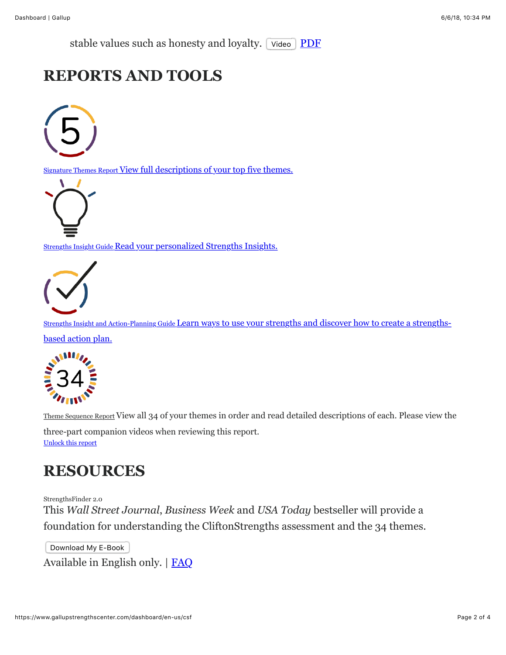stable values such as honesty and loyalty. Video [PDF](https://dk9zyhfatdvcy.cloudfront.net/public/pdf/en-US/Responsibility.pdf)

## **REPORTS AND TOOLS**



Signature Themes Report [View full descriptions of your top five themes.](https://gx.gallup.com/sfreports.gx/p/DsfPDF?a=1056564035&lc=en-us&e=&r=signature_theme_report_pdf&k=3b97367299717bb9fd0c932ab3b435cc43e7f8e322c193ce8f5f9c07e22881d68708d24c7f5c32bb0fde7f3a8455ae6798c5a034c6d3978c1e70d0877948cfd1&h=b3055468e6d951e46f8c015819e59f9f13a8483e15642bd3ab637db91e437b4966ca0014f1982f31ccb25e2201a95b6804a274d6a28b24cc97530d49e7cf3ae0&s=0)



**Strengths Insight Guide [Read your personalized Strengths Insights.](https://gx.gallup.com/sfreports.gx/p/DsfPDF?a=1056564035&lc=en-us&e=&r=strengths_insight_report_pdf&k=b4e603ff26162130bdc1a278d0f7dade301db9b790231c029f948f2613dbdf5899e4e418a363b22ce766f56fa337b505e52db90e5076fcc96466004b06c9a048&h=b3055468e6d951e46f8c015819e59f9f13a8483e15642bd3ab637db91e437b4966ca0014f1982f31ccb25e2201a95b6804a274d6a28b24cc97530d49e7cf3ae0&s=0)** 



Strengths Insight and Action-Planning Guide Learn ways to use your strengths and discover how to create a strengthsbased action plan.



Theme Sequence Report [View all 34 of your themes in order and read detailed descriptions of each. Please view the](https://gx.gallup.com/sfreports.gx/p/DsfPDF?a=1056564035&lc=en-us&e=&r=sf1_sdd_guide_long_pdf&k=7d00ac18e925fd658dbe065dc17022c24ff9c58728bc157cade66e68f6081c23a235c1c61e5ef0fb6f76f1c9d94ffa48c8f4620cf95776ff05c0bcc59864b531&h=b3055468e6d951e46f8c015819e59f9f13a8483e15642bd3ab637db91e437b4966ca0014f1982f31ccb25e2201a95b6804a274d6a28b24cc97530d49e7cf3ae0&s=0)

three-part companion videos when reviewing this report. [Unlock this report](https://www.gallupstrengthscenter.com/dashboard/en-us/csf#)

## **RESOURCES**

StrengthsFinder 2.0 This *Wall Street Journal*, *Business Week* and *USA Today* bestseller will provide a foundation for understanding the CliftonStrengths assessment and the 34 themes.

Download My E-Book Available in English only. | [FAQ](https://www.gallupstrengthscenter.com/help/en-us/faq-item/TECHFAQ31?type=TECH)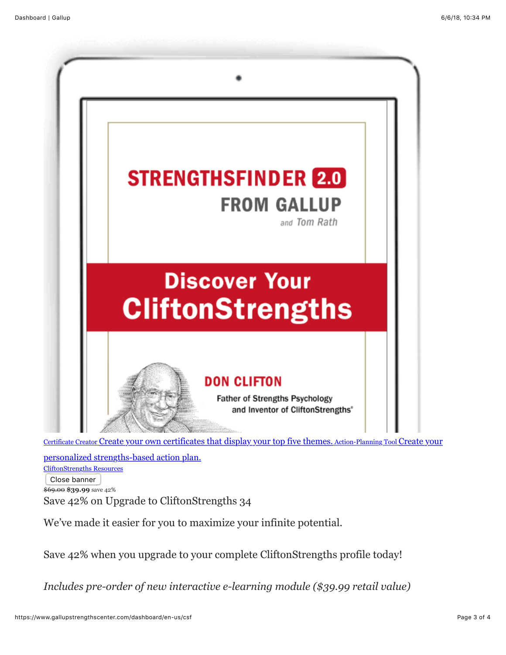

personalized strengths-based action plan. [CliftonStrengths Resources](https://www.gallupstrengthscenter.com/private-resources) Close banner \$69.00 **\$39.99** save 42% Save 42% on Upgrade to CliftonStrengths 34

We've made it easier for you to maximize your infinite potential.

Save 42% when you upgrade to your complete CliftonStrengths profile today!

*Includes pre-order of new interactive e-learning module (\$39.99 retail value)*